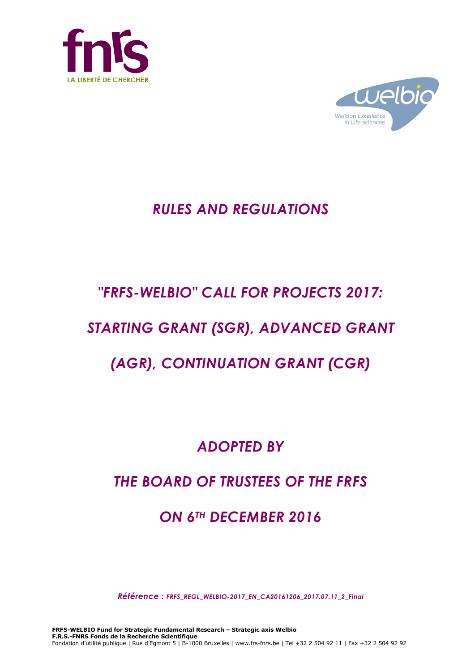



# *RULES AND REGULATIONS*

# *"FRFS-WELBIO" CALL FOR PROJECTS 2017:*

# *STARTING GRANT (SGR), ADVANCED GRANT*

# *(AGR), CONTINUATION GRANT (CGR)*

# *ADOPTED BY*

# *THE BOARD OF TRUSTEES OF THE FRFS*

# *ON 6TH DECEMBER 2016*

*Référence : FRFS\_REGL\_WELBIO-2017\_EN\_CA20161206\_2017.07.11\_2\_Final*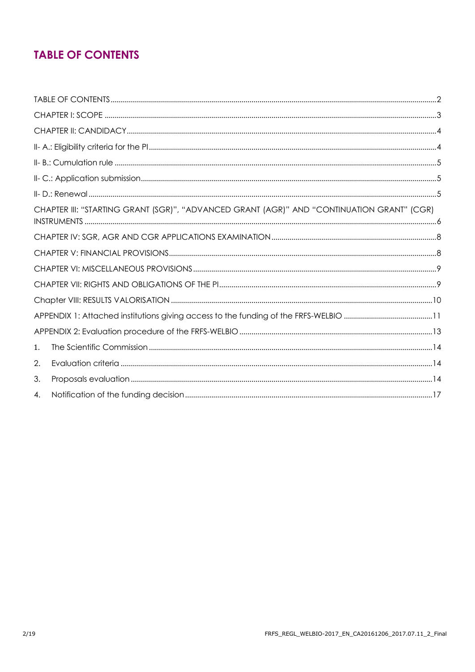# **TABLE OF CONTENTS**

|    | CHAPTER III: "STARTING GRANT (SGR)", "ADVANCED GRANT (AGR)" AND "CONTINUATION GRANT" (CGR) |  |
|----|--------------------------------------------------------------------------------------------|--|
|    |                                                                                            |  |
|    |                                                                                            |  |
|    |                                                                                            |  |
|    |                                                                                            |  |
|    |                                                                                            |  |
|    |                                                                                            |  |
|    |                                                                                            |  |
| 1. |                                                                                            |  |
| 2. |                                                                                            |  |
| 3. |                                                                                            |  |
| 4. |                                                                                            |  |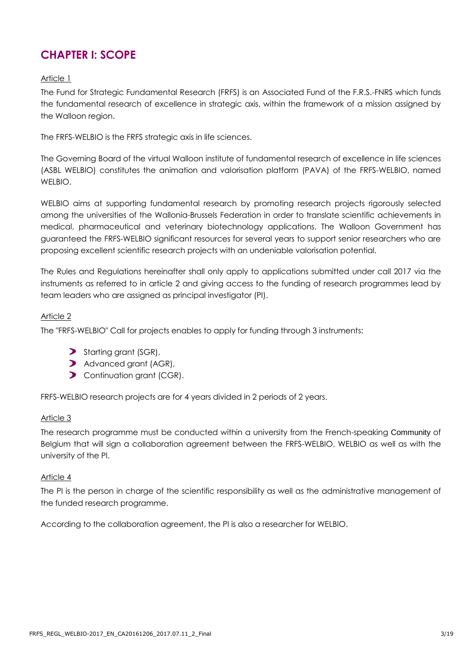## **CHAPTER I: SCOPE**

#### Article 1

The Fund for Strategic Fundamental Research (FRFS) is an Associated Fund of the F.R.S.-FNRS which funds the fundamental research of excellence in strategic axis, within the framework of a mission assigned by the Walloon region.

The FRFS-WELBIO is the FRFS strategic axis in life sciences.

The Governing Board of the virtual Walloon institute of fundamental research of excellence in life sciences (ASBL WELBIO) constitutes the animation and valorisation platform (PAVA) of the FRFS-WELBIO, named WELBIO.

WELBIO aims at supporting fundamental research by promoting research projects rigorously selected among the universities of the Wallonia-Brussels Federation in order to translate scientific achievements in medical, pharmaceutical and veterinary biotechnology applications. The Walloon Government has guaranteed the FRFS-WELBIO significant resources for several years to support senior researchers who are proposing excellent scientific research projects with an undeniable valorisation potential.

The Rules and Regulations hereinafter shall only apply to applications submitted under call 2017 via the instruments as referred to in article 2 and giving access to the funding of research programmes lead by team leaders who are assigned as principal investigator (PI).

#### Article 2

The "FRFS-WELBIO" Call for projects enables to apply for funding through 3 instruments:

- Starting grant (SGR),
- Advanced grant (AGR),
- **D** Continuation grant (CGR).

FRFS-WELBIO research projects are for 4 years divided in 2 periods of 2 years.

#### Article 3

The research programme must be conducted within a university from the French-speaking Community of Belgium that will sign a collaboration agreement between the FRFS-WELBIO, WELBIO as well as with the university of the PI.

#### Article 4

The PI is the person in charge of the scientific responsibility as well as the administrative management of the funded research programme.

According to the collaboration agreement, the PI is also a researcher for WELBIO.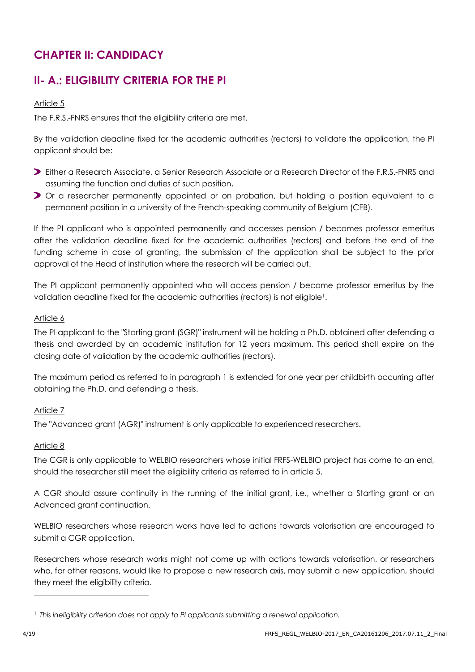## **CHAPTER II: CANDIDACY**

## **II- A.: ELIGIBILITY CRITERIA FOR THE PI**

#### Article 5

The F.R.S.-FNRS ensures that the eligibility criteria are met.

By the validation deadline fixed for the academic authorities (rectors) to validate the application, the PI applicant should be:

- Either a Research Associate, a Senior Research Associate or a Research Director of the F.R.S.-FNRS and assuming the function and duties of such position,
- Or a researcher permanently appointed or on probation, but holding a position equivalent to a permanent position in a university of the French-speaking community of Belgium (CFB).

If the PI applicant who is appointed permanently and accesses pension / becomes professor emeritus after the validation deadline fixed for the academic authorities (rectors) and before the end of the funding scheme in case of granting, the submission of the application shall be subject to the prior approval of the Head of institution where the research will be carried out.

The PI applicant permanently appointed who will access pension / become professor emeritus by the validation deadline fixed for the academic authorities (rectors) is not eligible<sup>1</sup>.

#### Article 6

The PI applicant to the "Starting grant (SGR)" instrument will be holding a Ph.D. obtained after defending a thesis and awarded by an academic institution for 12 years maximum. This period shall expire on the closing date of validation by the academic authorities (rectors).

The maximum period as referred to in paragraph 1 is extended for one year per childbirth occurring after obtaining the Ph.D. and defending a thesis.

#### Article 7

The "Advanced grant (AGR)" instrument is only applicable to experienced researchers.

#### Article 8

The CGR is only applicable to WELBIO researchers whose initial FRFS-WELBIO project has come to an end, should the researcher still meet the eligibility criteria as referred to in article 5.

A CGR should assure continuity in the running of the initial grant, i.e., whether a Starting grant or an Advanced grant continuation.

WELBIO researchers whose research works have led to actions towards valorisation are encouraged to submit a CGR application.

Researchers whose research works might not come up with actions towards valorisation, or researchers who, for other reasons, would like to propose a new research axis, may submit a new application, should they meet the eligibility criteria.

l

<sup>1</sup> *This ineligibility criterion does not apply to PI applicants submitting a renewal application.*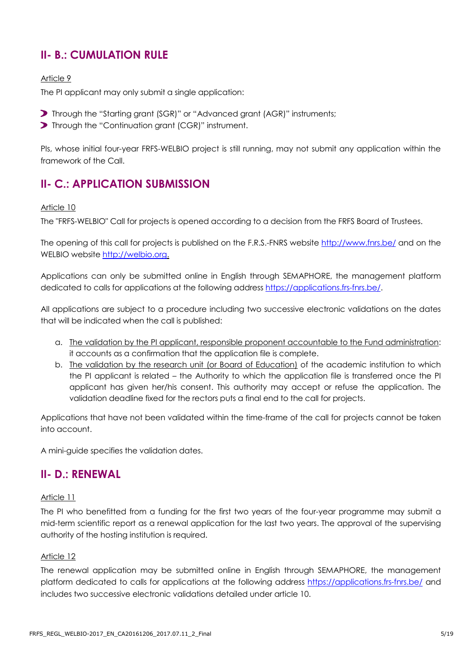### **II- B.: CUMULATION RULE**

#### Article 9

The PI applicant may only submit a single application:

- Through the "Starting grant (SGR)" or "Advanced grant (AGR)" instruments;
- **>** Through the "Continuation grant (CGR)" instrument.

PIs, whose initial four-year FRFS-WELBIO project is still running, may not submit any application within the framework of the Call.

### **II- C.: APPLICATION SUBMISSION**

#### Article 10

The "FRFS-WELBIO" Call for projects is opened according to a decision from the FRFS Board of Trustees.

The opening of this call for projects is published on the F.R.S.-FNRS website<http://www.fnrs.be/> and on the WELBIO website [http://welbio.org.](http://welbio.org/)

Applications can only be submitted online in English through SEMAPHORE, the management platform dedicated to calls for applications at the following address [https://applications.frs-fnrs.be/.](https://applications.frs-fnrs.be/)

All applications are subject to a procedure including two successive electronic validations on the dates that will be indicated when the call is published:

- a. The validation by the PI applicant, responsible proponent accountable to the Fund administration: it accounts as a confirmation that the application file is complete.
- b. The validation by the research unit (or Board of Education) of the academic institution to which the PI applicant is related – the Authority to which the application file is transferred once the PI applicant has given her/his consent. This authority may accept or refuse the application. The validation deadline fixed for the rectors puts a final end to the call for projects.

Applications that have not been validated within the time-frame of the call for projects cannot be taken into account.

A mini-guide specifies the validation dates.

### **II- D.: RENEWAL**

#### Article 11

The PI who benefitted from a funding for the first two years of the four-year programme may submit a mid-term scientific report as a renewal application for the last two years. The approval of the supervising authority of the hosting institution is required.

#### Article 12

The renewal application may be submitted online in English through SEMAPHORE, the management platform dedicated to calls for applications at the following address<https://applications.frs-fnrs.be/> and includes two successive electronic validations detailed under article 10.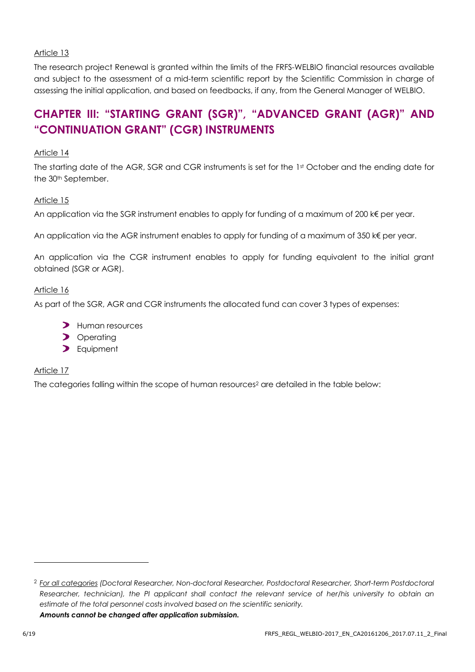The research project Renewal is granted within the limits of the FRFS-WELBIO financial resources available and subject to the assessment of a mid-term scientific report by the Scientific Commission in charge of assessing the initial application, and based on feedbacks, if any, from the General Manager of WELBIO.

## **CHAPTER III: "STARTING GRANT (SGR)", "ADVANCED GRANT (AGR)" AND "CONTINUATION GRANT" (CGR) INSTRUMENTS**

#### Article 14

The starting date of the AGR, SGR and CGR instruments is set for the 1st October and the ending date for the 30<sup>th</sup> September.

#### Article 15

An application via the SGR instrument enables to apply for funding of a maximum of 200 k€ per year.

An application via the AGR instrument enables to apply for funding of a maximum of 350 k€ per year.

An application via the CGR instrument enables to apply for funding equivalent to the initial grant obtained (SGR or AGR).

#### Article 16

As part of the SGR, AGR and CGR instruments the allocated fund can cover 3 types of expenses:

- **>** Human resources
- > Operating
- > Equipment

#### Article 17

The categories falling within the scope of human resources<sup>2</sup> are detailed in the table below:

l

<sup>2</sup> *For all categories (Doctoral Researcher, Non-doctoral Researcher, Postdoctoral Researcher, Short-term Postdoctoral Researcher, technician), the PI applicant shall contact the relevant service of her/his university to obtain an estimate of the total personnel costs involved based on the scientific seniority. Amounts cannot be changed after application submission.*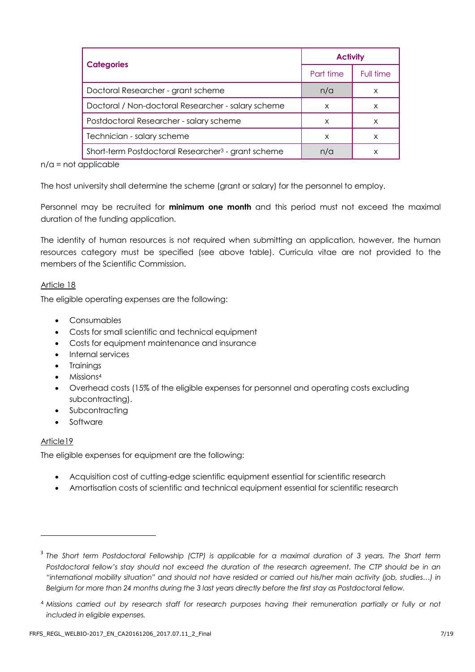|                                                                | <b>Activity</b> |           |
|----------------------------------------------------------------|-----------------|-----------|
| <b>Categories</b>                                              | Part time       | Full time |
| Doctoral Researcher - grant scheme                             | n/a             | x         |
| Doctoral / Non-doctoral Researcher - salary scheme             | X               | X         |
| Postdoctoral Researcher - salary scheme                        | X               | x         |
| Technician - salary scheme                                     | X               | X         |
| Short-term Postdoctoral Researcher <sup>3</sup> - grant scheme | n/a             |           |

n/a = not applicable

The host university shall determine the scheme (grant or salary) for the personnel to employ.

Personnel may be recruited for **minimum one month** and this period must not exceed the maximal duration of the funding application.

The identity of human resources is not required when submitting an application, however, the human resources category must be specified (see above table). Curricula vitae are not provided to the members of the Scientific Commission.

#### Article 18

The eligible operating expenses are the following:

- Consumables
- Costs for small scientific and technical equipment
- Costs for equipment maintenance and insurance
- Internal services
- Trainings
- Missions<sup>4</sup>
- Overhead costs (15% of the eligible expenses for personnel and operating costs excluding subcontracting).
- Subcontracting
- Software

#### Article19

-

The eligible expenses for equipment are the following:

- Acquisition cost of cutting-edge scientific equipment essential for scientific research
- Amortisation costs of scientific and technical equipment essential for scientific research

<sup>&</sup>lt;sup>3</sup> The Short term Postdoctoral Fellowship (CTP) is applicable for a maximal duration of 3 years. The Short term Postdoctoral fellow's stay should not exceed the duration of the research agreement. The CTP should be in an *"international mobility situation" and should not have resided or carried out his/her main activity (job, studies…) in Belgium for more than 24 months during the 3 last years directly before the first stay as Postdoctoral fellow.*

<sup>4</sup> *Missions carried out by research staff for research purposes having their remuneration partially or fully or not included in eligible expenses.*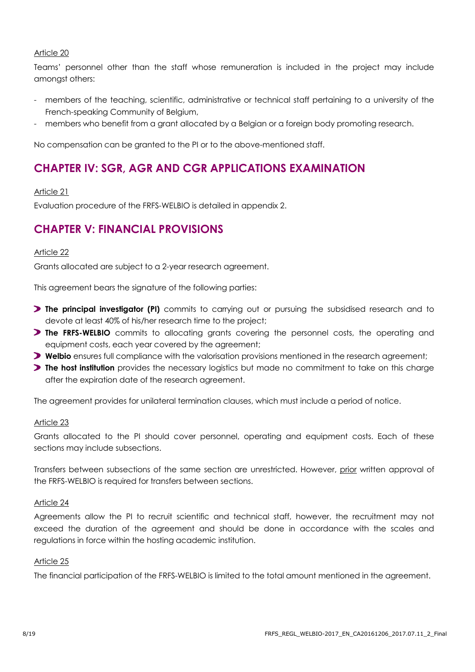Teams' personnel other than the staff whose remuneration is included in the project may include amongst others:

- members of the teaching, scientific, administrative or technical staff pertaining to a university of the French-speaking Community of Belgium,
- members who benefit from a grant allocated by a Belgian or a foreign body promoting research.

No compensation can be granted to the PI or to the above-mentioned staff.

### **CHAPTER IV: SGR, AGR AND CGR APPLICATIONS EXAMINATION**

#### Article 21

Evaluation procedure of the FRFS-WELBIO is detailed in appendix 2.

### **CHAPTER V: FINANCIAL PROVISIONS**

#### Article 22

Grants allocated are subject to a 2-year research agreement.

This agreement bears the signature of the following parties:

- **The principal investigator (PI)** commits to carrying out or pursuing the subsidised research and to devote at least 40% of his/her research time to the project;
- **The FRFS-WELBIO** commits to allocating grants covering the personnel costs, the operating and equipment costs, each year covered by the agreement;
- **Welbio** ensures full compliance with the valorisation provisions mentioned in the research agreement;
- **The host institution** provides the necessary logistics but made no commitment to take on this charge after the expiration date of the research agreement.

The agreement provides for unilateral termination clauses, which must include a period of notice.

#### Article 23

Grants allocated to the PI should cover personnel, operating and equipment costs. Each of these sections may include subsections.

Transfers between subsections of the same section are unrestricted. However, prior written approval of the FRFS-WELBIO is required for transfers between sections.

#### Article 24

Agreements allow the PI to recruit scientific and technical staff, however, the recruitment may not exceed the duration of the agreement and should be done in accordance with the scales and regulations in force within the hosting academic institution.

#### Article 25

The financial participation of the FRFS-WELBIO is limited to the total amount mentioned in the agreement.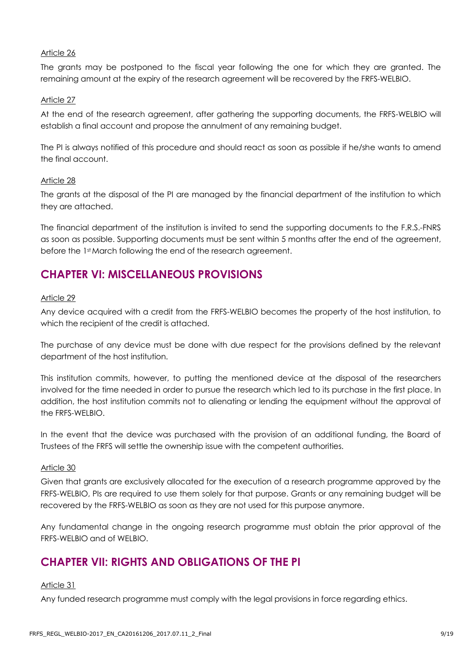The grants may be postponed to the fiscal year following the one for which they are granted. The remaining amount at the expiry of the research agreement will be recovered by the FRFS-WELBIO.

#### Article 27

At the end of the research agreement, after gathering the supporting documents, the FRFS-WELBIO will establish a final account and propose the annulment of any remaining budget.

The PI is always notified of this procedure and should react as soon as possible if he/she wants to amend the final account.

#### Article 28

The grants at the disposal of the PI are managed by the financial department of the institution to which they are attached.

The financial department of the institution is invited to send the supporting documents to the F.R.S.-FNRS as soon as possible. Supporting documents must be sent within 5 months after the end of the agreement, before the 1st March following the end of the research agreement.

### **CHAPTER VI: MISCELLANEOUS PROVISIONS**

#### Article 29

Any device acquired with a credit from the FRFS-WELBIO becomes the property of the host institution, to which the recipient of the credit is attached.

The purchase of any device must be done with due respect for the provisions defined by the relevant department of the host institution.

This institution commits, however, to putting the mentioned device at the disposal of the researchers involved for the time needed in order to pursue the research which led to its purchase in the first place. In addition, the host institution commits not to alienating or lending the equipment without the approval of the FRFS-WELBIO.

In the event that the device was purchased with the provision of an additional funding, the Board of Trustees of the FRFS will settle the ownership issue with the competent authorities.

#### Article 30

Given that grants are exclusively allocated for the execution of a research programme approved by the FRFS-WELBIO, PIs are required to use them solely for that purpose. Grants or any remaining budget will be recovered by the FRFS-WELBIO as soon as they are not used for this purpose anymore.

Any fundamental change in the ongoing research programme must obtain the prior approval of the FRFS-WELBIO and of WELBIO.

### **CHAPTER VII: RIGHTS AND OBLIGATIONS OF THE PI**

Article 31

Any funded research programme must comply with the legal provisions in force regarding ethics.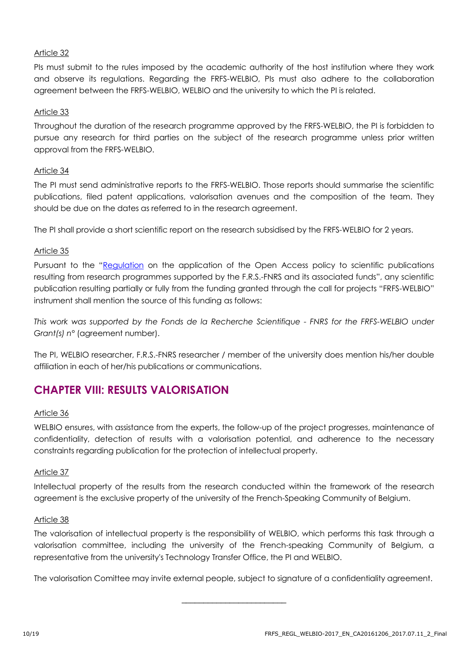PIs must submit to the rules imposed by the academic authority of the host institution where they work and observe its regulations. Regarding the FRFS-WELBIO, PIs must also adhere to the collaboration agreement between the FRFS-WELBIO, WELBIO and the university to which the PI is related.

#### Article 33

Throughout the duration of the research programme approved by the FRFS-WELBIO, the PI is forbidden to pursue any research for third parties on the subject of the research programme unless prior written approval from the FRFS-WELBIO.

#### Article 34

The PI must send administrative reports to the FRFS-WELBIO. Those reports should summarise the scientific publications, filed patent applications, valorisation avenues and the composition of the team. They should be due on the dates as referred to in the research agreement.

The PI shall provide a short scientific report on the research subsidised by the FRFS-WELBIO for 2 years.

#### Article 35

Pursuant to the "[Regulation](http://www.frs-fnrs.be/docs/Reglement_OPEN_ACCESS_EN.pdf) on the application of the Open Access policy to scientific publications resulting from research programmes supported by the F.R.S.-FNRS and its associated funds", any scientific publication resulting partially or fully from the funding granted through the call for projects "FRFS-WELBIO" instrument shall mention the source of this funding as follows:

*This work was supported by the Fonds de la Recherche Scientifique - FNRS for the FRFS-WELBIO under Grant(s) n°* (agreement number).

The PI, WELBIO researcher, F.R.S.-FNRS researcher / member of the university does mention his/her double affiliation in each of her/his publications or communications.

### **CHAPTER VIII: RESULTS VALORISATION**

#### Article 36

WELBIO ensures, with assistance from the experts, the follow-up of the project progresses, maintenance of confidentiality, detection of results with a valorisation potential, and adherence to the necessary constraints regarding publication for the protection of intellectual property.

#### Article 37

Intellectual property of the results from the research conducted within the framework of the research agreement is the exclusive property of the university of the French-Speaking Community of Belgium.

#### Article 38

The valorisation of intellectual property is the responsibility of WELBIO, which performs this task through a valorisation committee, including the university of the French-speaking Community of Belgium, a representative from the university's Technology Transfer Office, the PI and WELBIO.

The valorisation Comittee may invite external people, subject to signature of a confidentiality agreement.

\_\_\_\_\_\_\_\_\_\_\_\_\_\_\_\_\_\_\_\_\_\_\_\_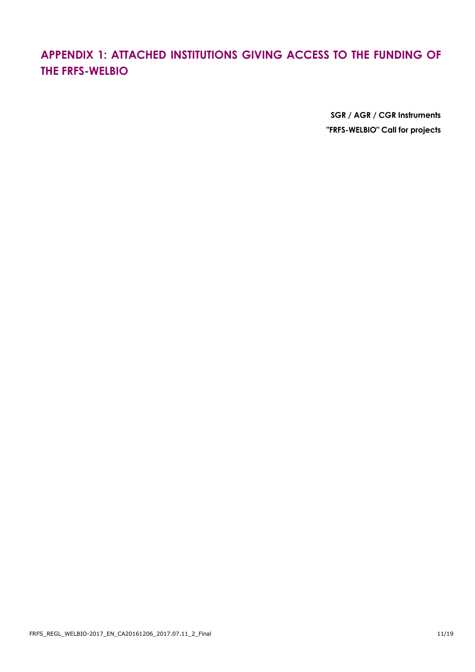## **APPENDIX 1: ATTACHED INSTITUTIONS GIVING ACCESS TO THE FUNDING OF THE FRFS-WELBIO**

**SGR / AGR / CGR Instruments "FRFS-WELBIO" Call for projects**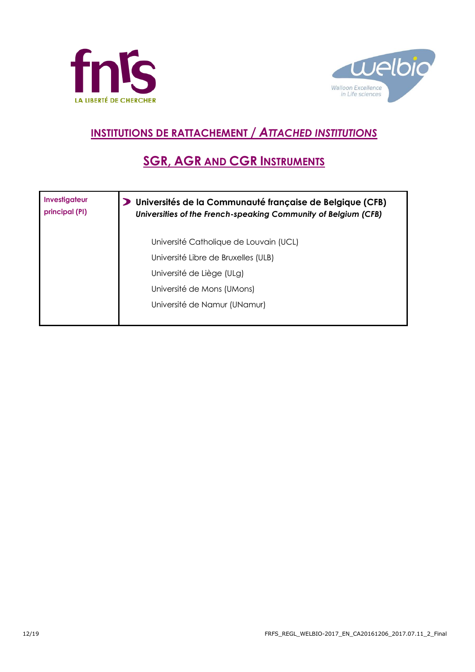



# **INSTITUTIONS DE RATTACHEMENT /** *ATTACHED INSTITUTIONS*

## **SGR, AGR AND CGR INSTRUMENTS**

| Investigateur<br>principal (PI) | Universités de la Communauté française de Belgique (CFB)<br>Universities of the French-speaking Community of Belgium (CFB) |
|---------------------------------|----------------------------------------------------------------------------------------------------------------------------|
|                                 | Université Catholique de Louvain (UCL)                                                                                     |
|                                 | Université Libre de Bruxelles (ULB)                                                                                        |
|                                 | Université de Liège (ULg)                                                                                                  |
|                                 | Université de Mons (UMons)                                                                                                 |
|                                 | Université de Namur (UNamur)                                                                                               |
|                                 |                                                                                                                            |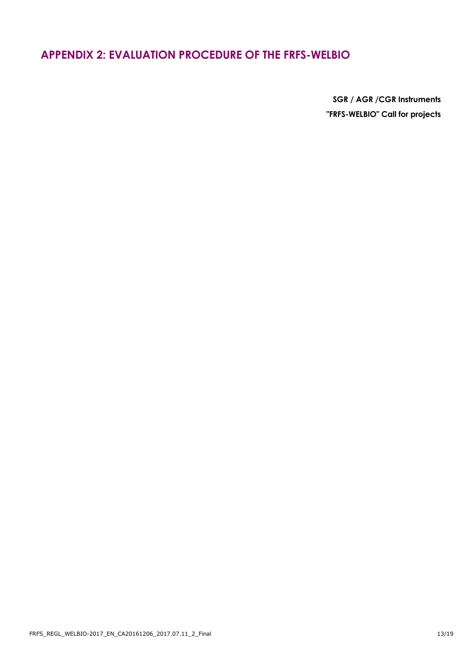### **APPENDIX 2: EVALUATION PROCEDURE OF THE FRFS-WELBIO**

**SGR / AGR /CGR Instruments "FRFS-WELBIO" Call for projects**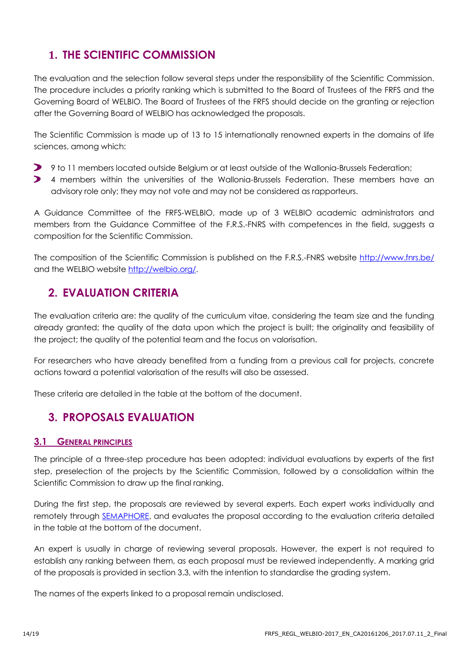### **1. THE SCIENTIFIC COMMISSION**

The evaluation and the selection follow several steps under the responsibility of the Scientific Commission. The procedure includes a priority ranking which is submitted to the Board of Trustees of the FRFS and the Governing Board of WELBIO. The Board of Trustees of the FRFS should decide on the granting or rejection after the Governing Board of WELBIO has acknowledged the proposals.

The Scientific Commission is made up of 13 to 15 internationally renowned experts in the domains of life sciences, among which:

- 9 to 11 members located outside Belgium or at least outside of the Wallonia-Brussels Federation;
- 4 members within the universities of the Wallonia-Brussels Federation. These members have an  $\blacktriangleright$ advisory role only; they may not vote and may not be considered as rapporteurs.

A Guidance Committee of the FRFS-WELBIO, made up of 3 WELBIO academic administrators and members from the Guidance Committee of the F.R.S.-FNRS with competences in the field, suggests a composition for the Scientific Commission.

The composition of the Scientific Commission is published on the F.R.S.-FNRS website<http://www.fnrs.be/> and the WELBIO website [http://welbio.org/.](http://welbio.org/)

### **2. EVALUATION CRITERIA**

The evaluation criteria are: the quality of the curriculum vitae, considering the team size and the funding already granted; the quality of the data upon which the project is built; the originality and feasibility of the project; the quality of the potential team and the focus on valorisation.

For researchers who have already benefited from a funding from a previous call for projects, concrete actions toward a potential valorisation of the results will also be assessed.

These criteria are detailed in the table at the bottom of the document.

### **3. PROPOSALS EVALUATION**

#### **3.1 GENERAL PRINCIPLES**

The principle of a three-step procedure has been adopted: individual evaluations by experts of the first step, preselection of the projects by the Scientific Commission, followed by a consolidation within the Scientific Commission to draw up the final ranking.

During the first step, the proposals are reviewed by several experts. Each expert works individually and remotely through **SEMAPHORE**, and evaluates the proposal according to the evaluation criteria detailed in the table at the bottom of the document.

An expert is usually in charge of reviewing several proposals. However, the expert is not required to establish any ranking between them, as each proposal must be reviewed independently. A marking grid of the proposals is provided in section 3.3, with the intention to standardise the grading system.

The names of the experts linked to a proposal remain undisclosed.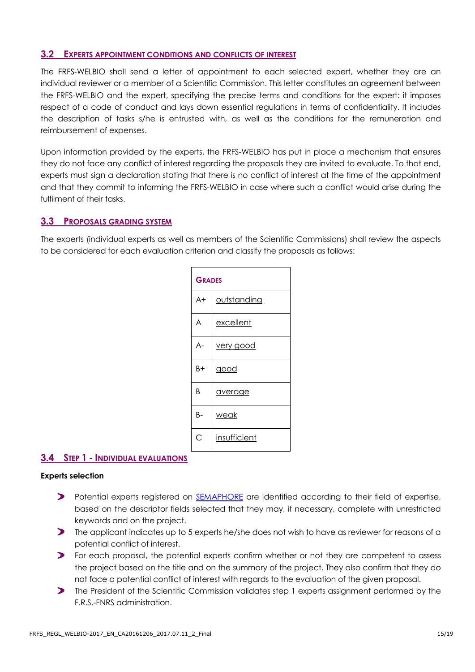#### **3.2 EXPERTS APPOINTMENT CONDITIONS AND CONFLICTS OF INTEREST**

The FRFS-WELBIO shall send a letter of appointment to each selected expert, whether they are an individual reviewer or a member of a Scientific Commission. This letter constitutes an agreement between the FRFS-WELBIO and the expert, specifying the precise terms and conditions for the expert: it imposes respect of a code of conduct and lays down essential regulations in terms of confidentiality. It includes the description of tasks s/he is entrusted with, as well as the conditions for the remuneration and reimbursement of expenses.

Upon information provided by the experts, the FRFS-WELBIO has put in place a mechanism that ensures they do not face any conflict of interest regarding the proposals they are invited to evaluate. To that end, experts must sign a declaration stating that there is no conflict of interest at the time of the appointment and that they commit to informing the FRFS-WELBIO in case where such a conflict would arise during the fulfilment of their tasks.

#### **3.3 PROPOSALS GRADING SYSTEM**

The experts (individual experts as well as members of the Scientific Commissions) shall review the aspects to be considered for each evaluation criterion and classify the proposals as follows:

|      | <b>GRADES</b> |  |  |
|------|---------------|--|--|
| $A+$ | outstanding   |  |  |
| A    | excellent     |  |  |
| A-   | very good     |  |  |
| B+   | good          |  |  |
| B    | average       |  |  |
| В-   | weak          |  |  |
| Ć    | insufficient  |  |  |

#### **3.4 STEP 1 - INDIVIDUAL EVALUATIONS**

#### **Experts selection**

- **P** Potential experts registered on [SEMAPHORE](https://applications.frs-fnrs.be/) are identified according to their field of expertise, based on the descriptor fields selected that they may, if necessary, complete with unrestricted keywords and on the project.
- The applicant indicates up to 5 experts he/she does not wish to have as reviewer for reasons of a potential conflict of interest.
- For each proposal, the potential experts confirm whether or not they are competent to assess the project based on the title and on the summary of the project. They also confirm that they do not face a potential conflict of interest with regards to the evaluation of the given proposal.
- **The President of the Scientific Commission validates step 1 experts assignment performed by the** F.R.S.-FNRS administration.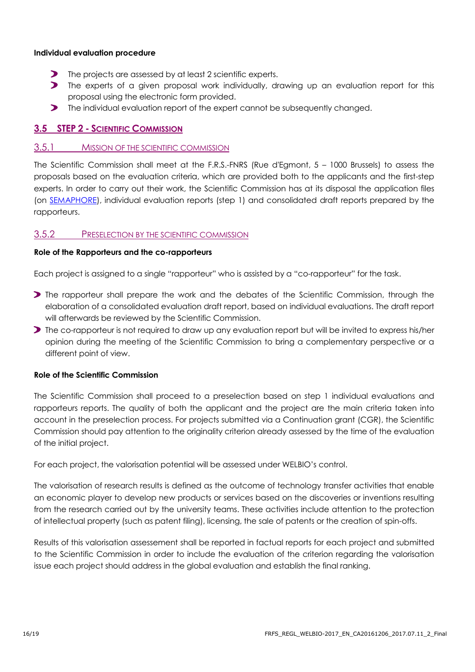#### **Individual evaluation procedure**

- The projects are assessed by at least 2 scientific experts.
- $\blacktriangleright$ The experts of a given proposal work individually, drawing up an evaluation report for this proposal using the electronic form provided.
- **The individual evaluation report of the expert cannot be subsequently changed.**

#### **3.5 STEP 2 - SCIENTIFIC COMMISSION**

#### 3.5.1 MISSION OF THE SCIENTIFIC COMMISSION

The Scientific Commission shall meet at the F.R.S.-FNRS (Rue d'Egmont, 5 – 1000 Brussels) to assess the proposals based on the evaluation criteria, which are provided both to the applicants and the first-step experts. In order to carry out their work, the Scientific Commission has at its disposal the application files (on [SEMAPHORE\)](https://applications.frs-fnrs.be/), individual evaluation reports (step 1) and consolidated draft reports prepared by the rapporteurs.

#### 3.5.2 PRESELECTION BY THE SCIENTIFIC COMMISSION

#### **Role of the Rapporteurs and the co-rapporteurs**

Each project is assigned to a single "rapporteur" who is assisted by a "co-rapporteur" for the task.

- **The rapporteur shall prepare the work and the debates of the Scientific Commission, through the** elaboration of a consolidated evaluation draft report, based on individual evaluations. The draft report will afterwards be reviewed by the Scientific Commission.
- **The co-rapporteur is not required to draw up any evaluation report but will be invited to express his/her** opinion during the meeting of the Scientific Commission to bring a complementary perspective or a different point of view.

#### **Role of the Scientific Commission**

The Scientific Commission shall proceed to a preselection based on step 1 individual evaluations and rapporteurs reports. The quality of both the applicant and the project are the main criteria taken into account in the preselection process. For projects submitted via a Continuation grant (CGR), the Scientific Commission should pay attention to the originality criterion already assessed by the time of the evaluation of the initial project.

For each project, the valorisation potential will be assessed under WELBIO's control.

The valorisation of research results is defined as the outcome of technology transfer activities that enable an economic player to develop new products or services based on the discoveries or inventions resulting from the research carried out by the university teams. These activities include attention to the protection of intellectual property (such as patent filing), licensing, the sale of patents or the creation of spin-offs.

Results of this valorisation assessement shall be reported in factual reports for each project and submitted to the Scientific Commission in order to include the evaluation of the criterion regarding the valorisation issue each project should address in the global evaluation and establish the final ranking.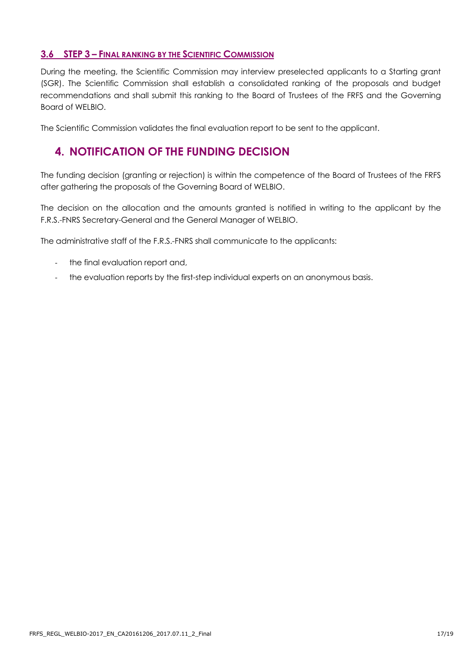#### **3.6 STEP 3 – FINAL RANKING BY THE SCIENTIFIC COMMISSION**

During the meeting, the Scientific Commission may interview preselected applicants to a Starting grant (SGR). The Scientific Commission shall establish a consolidated ranking of the proposals and budget recommendations and shall submit this ranking to the Board of Trustees of the FRFS and the Governing Board of WELBIO.

The Scientific Commission validates the final evaluation report to be sent to the applicant.

### **4. NOTIFICATION OF THE FUNDING DECISION**

The funding decision (granting or rejection) is within the competence of the Board of Trustees of the FRFS after gathering the proposals of the Governing Board of WELBIO.

The decision on the allocation and the amounts granted is notified in writing to the applicant by the F.R.S.-FNRS Secretary-General and the General Manager of WELBIO.

The administrative staff of the F.R.S.-FNRS shall communicate to the applicants:

- the final evaluation report and,
- the evaluation reports by the first-step individual experts on an anonymous basis.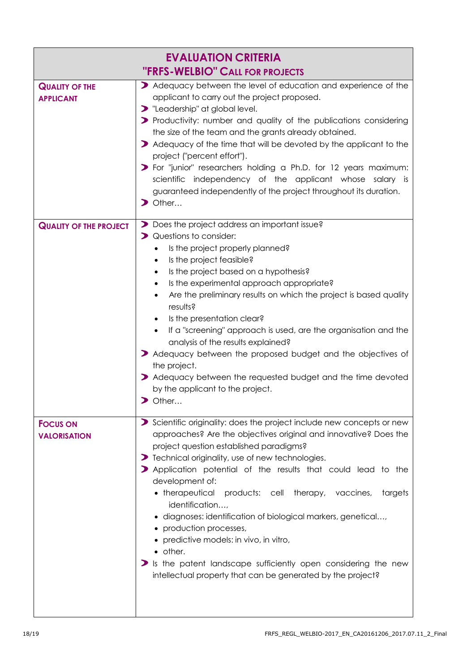| <b>EVALUATION CRITERIA</b>                |                                                                                                                                                                                                                                                                                                                                                                                                                                                                                                                                                                                                                                                                                                                                       |  |  |  |  |  |
|-------------------------------------------|---------------------------------------------------------------------------------------------------------------------------------------------------------------------------------------------------------------------------------------------------------------------------------------------------------------------------------------------------------------------------------------------------------------------------------------------------------------------------------------------------------------------------------------------------------------------------------------------------------------------------------------------------------------------------------------------------------------------------------------|--|--|--|--|--|
| <b>"FRFS-WELBIO" CALL FOR PROJECTS</b>    |                                                                                                                                                                                                                                                                                                                                                                                                                                                                                                                                                                                                                                                                                                                                       |  |  |  |  |  |
| <b>QUALITY OF THE</b><br><b>APPLICANT</b> | > Adequacy between the level of education and experience of the<br>applicant to carry out the project proposed.<br>> "Leadership" at global level.<br>> Productivity: number and quality of the publications considering<br>the size of the team and the grants already obtained.<br>Adequacy of the time that will be devoted by the applicant to the<br>project ("percent effort").<br>> For "junior" researchers holding a Ph.D. for 12 years maximum:<br>scientific independency of the applicant whose salary is<br>guaranteed independently of the project throughout its duration.<br>$\triangleright$ Other                                                                                                                   |  |  |  |  |  |
| <b>QUALITY OF THE PROJECT</b>             | Does the project address an important issue?<br>> Questions to consider:<br>Is the project properly planned?<br>$\bullet$<br>Is the project feasible?<br>$\bullet$<br>Is the project based on a hypothesis?<br>Is the experimental approach appropriate?<br>$\bullet$<br>Are the preliminary results on which the project is based quality<br>$\bullet$<br>results?<br>Is the presentation clear?<br>$\bullet$<br>If a "screening" approach is used, are the organisation and the<br>analysis of the results explained?<br>> Adequacy between the proposed budget and the objectives of<br>the project.<br>> Adequacy between the requested budget and the time devoted<br>by the applicant to the project.<br>$\triangleright$ Other |  |  |  |  |  |
| <b>FOCUS ON</b><br><b>VALORISATION</b>    | Scientific originality: does the project include new concepts or new<br>approaches? Are the objectives original and innovative? Does the<br>project question established paradigms?<br>> Technical originality, use of new technologies.<br>> Application potential of the results that could lead to the<br>development of:<br>• therapeutical<br>products: cell therapy, vaccines,<br>targets<br>identification,<br>· diagnoses: identification of biological markers, genetical,<br>• production processes,<br>• predictive models: in vivo, in vitro,<br>• other.<br>$\triangleright$ is the patent landscape sufficiently open considering the new<br>intellectual property that can be generated by the project?                |  |  |  |  |  |